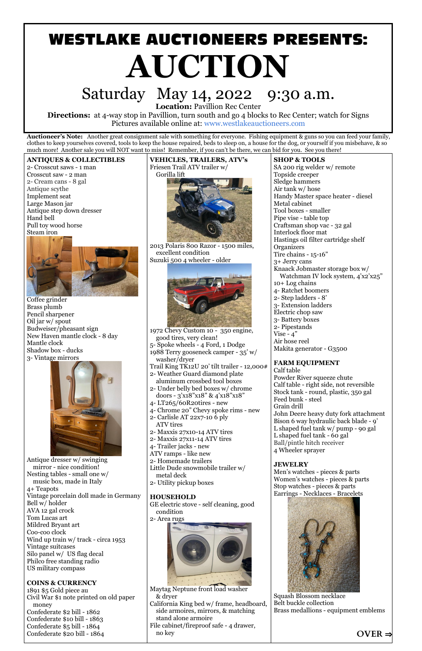# **WESTLAKE AUCTIONEERS PRESENTS: AUCTION**

# Saturday May 14, 2022 9:30 a.m.

**Location:** Pavillion Rec Center

**Directions:** at 4-way stop in Pavillion, turn south and go 4 blocks to Rec Center; watch for Signs Pictures available online at: www.westlakeauctioneers.com

**Auctioneer's Note:** Another great consignment sale with something for everyone. Fishing equipment & guns so you can feed your family, clothes to keep yourselves covered, tools to keep the house repaired, beds to sleep on, a house for the dog, or yourself if you misbehave, & so much more! Another sale you will NOT want to miss! Remember, if you can't be there, we can bid for you. See you there!

#### **ANTIQUES & COLLECTIBLES**

2- Crosscut saws - 1 man Crosscut saw - 2 man 2- Cream cans - 8 gal Antique scythe Implement seat Large Mason jar Antique step down dresser Hand bell Pull toy wood horse Steam iron



Coffee grinder Brass plumb Pencil sharpener Oil jar w/ spout Budweiser/pheasant sign New Haven mantle clock - 8 day Mantle clock Shadow box - ducks 3- Vintage mirrors



Antique dresser w/ swinging mirror - nice condition! Nesting tables - small one w/ music box, made in Italy 4+ Teapots Vintage porcelain doll made in Germany Bell w/ holder AVA 12 gal crock Tom Lucas art Mildred Bryant art Coo-coo clock Wind up train w/ track - circa 1953 Vintage suitcases Silo panel w/ US flag decal Philco free standing radio US military compass

**COINS & CURRENCY** 1891 \$5 Gold piece au Civil War \$1 note printed on old paper money Confederate \$2 bill - 1862 Confederate \$10 bill - 1863 Confederate \$5 bill - 1864 Confederate \$20 bill - 1864

**VEHICLES, TRAILERS, ATV's** Friesen Trail ATV trailer w/ Gorilla lift



2013 Polaris 800 Razor - 1500 miles, excellent condition Suzuki 500 4 wheeler - older



1972 Chevy Custom 10 - 350 engine, good tires, very clean! 5- Spoke wheels - 4 Ford, 1 Dodge 1988 Terry gooseneck camper - 35' w/ washer/dryer Trail King TK12U 20' tilt trailer - 12,000# 2- Weather Guard diamond plate aluminum crossbed tool boxes 2- Under belly bed boxes w/ chrome doors - 3'x18"x18" & 4'x18"x18"

- 4- LT265/60R20tires new
- 4- Chrome 20" Chevy spoke rims new
- 2- Carlisle AT 22x7-10 6 ply ATV tires
- 2- Maxxis 27x10-14 ATV tires
- 2- Maxxis 27x11-14 ATV tires
- 4- Trailer jacks new
- ATV ramps like new
- 2- Homemade trailers
- Little Dude snowmobile trailer w/ metal deck

2- Utility pickup boxes

#### **HOUSEHOLD**

GE electric stove - self cleaning, good condition

2- Area rugs



Maytag Neptune front load washer & dryer California King bed w/ frame, headboard, side armoires, mirrors, & matching stand alone armoire File cabinet/fireproof safe - 4 drawer, no key



#### **SHOP & TOOLS**

SA 200 rig welder w/ remote Topside creeper Sledge hammers Air tank w/ hose Handy Master space heater - diesel Metal cabinet Tool boxes - smaller Pipe vise - table top Craftsman shop vac - 32 gal Interlock floor mat Hastings oil filter cartridge shelf **Organizers** Tire chains - 15-16" 3+ Jerry cans Knaack Jobmaster storage box w/ Watchman IV lock system, 4'x2'x25" 10+ Log chains 4- Ratchet boomers 2- Step ladders - 8' 3- Extension ladders Electric chop saw 3- Battery boxes 2- Pipestands Vise -  $4"$ Air hose reel Makita generator - G3500

#### **FARM EQUIPMENT**

Calf table Powder River squeeze chute Calf table - right side, not reversible Stock tank - round, plastic, 350 gal Feed bunk - steel Grain drill John Deere heavy duty fork attachment Bison 6 way hydraulic back blade - 9' L shaped fuel tank w/ pump - 90 gal L shaped fuel tank - 60 gal Ball/pintle hitch receiver 4 Wheeler sprayer

#### **JEWELRY**

Men's watches - pieces & parts Women's watches - pieces & parts Stop watches - pieces & parts Earrings - Necklaces - Bracelets

Squash Blossom necklace Belt buckle collection Brass medallions - equipment emblems

**OVER** ⇒